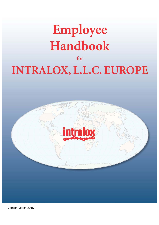# **Employee** Handbook

 $for$ 

# **INTRALOX, L.L.C. EUROPE**



Version March 2015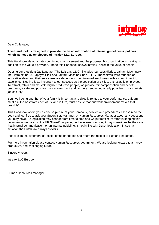

Dear Colleague,

#### **This Handbook is designed to provide the basic information of internal guidelines & policies which we need as employees of Intralox LLC Europe.**

This Handbook demonstrates continuous improvement and the progress this organization is making. In addition to the value it provides, I hope this Handbook shows Intralox` belief in the value of people.

Quoting our president Jay Lapeyre; "The Laitram, L.L.C. includes four subsidiaries: Laitram Machinery Inc., Intralox Inc. ®, Lapeyre Stair and Laitram Machine Shop, L.L.C. These firms were founded on innovative ideas and their successes are dependent upon talented employees with a commitment to excellence. Nothing is as important to our success as the dedication of skilled, enthusiastic employees. To attract, retain and motivate highly productive people, we provide fair compensation and benefit programs, a safe and positive work environment and, to the extent economically possible in our markets, job security.

Your well-being and that of your family is important and directly related to your performance. Laitram must ask the best from each of us, and in turn, must ensure that our work environment makes that possible".

This Handbook offers you a concise picture of your Company, policies and procedures. Please read the book and feel free to ask your Supervisor, Manager, or Human Resources Manager about any questions you may have. As legislation may change from time to time and we put maximum effort in keeping this document up to date, on the HR SharePoint page, on the internal website, it may sometimes be the case that internal communication, or an internal guideline, is not in line with Dutch legislation. In such a situation the Dutch law always prevails.

Please sign the statement of receipt of the handbook and return the receipt to Human Resources.

For more information please contact Human Resources department. We are looking forward to a happy, productive, and challenging future.

Sincerely yours,

Intralox LLC Europe

Human Resources Manager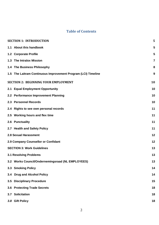# **Table of Contents**

|                                     | <b>SECTION 1: INTRODUCTION</b>                                | 5              |  |
|-------------------------------------|---------------------------------------------------------------|----------------|--|
|                                     | 1.1 About this handbook                                       | 5              |  |
|                                     | 1.2 Corporate Profile                                         | 5              |  |
|                                     | 1.3 The Intralox Mission                                      | $\overline{7}$ |  |
|                                     | 1.4 The Business Philosophy                                   | 8              |  |
|                                     | 1.5 The Laitram Continuous Improvement Program (LCI) Timeline | 9              |  |
|                                     | 10<br><b>SECTION 2: BEGINNING YOUR EMPLOYMENT</b>             |                |  |
|                                     | 2.1 Equal Employment Opportunity                              | 10             |  |
|                                     | 2.2 Performance Improvement Planning                          | 10             |  |
|                                     | 2.3 Personnel Records                                         | 10             |  |
|                                     | 2.4 Rights to see own personal records                        | 11             |  |
|                                     | 2.5 Working hours and flex time                               | 11             |  |
|                                     | 2.6 Punctuality                                               | 11             |  |
|                                     | 2.7 Health and Safety Policy                                  | 11             |  |
| <b>2.8 Sexual Harassment</b>        |                                                               | 12             |  |
| 2.9 Company Counsellor or Confidant |                                                               | 12             |  |
|                                     | <b>SECTION 3: Work Guidelines</b>                             |                |  |
|                                     | <b>3.1 Resolving Problems</b>                                 | 13             |  |
|                                     | 3.2 Works Council/Ondernemingsraad (NL EMPLOYEES)             | 13             |  |
|                                     | 3.3 Smoking Policy                                            | 14             |  |
|                                     | 3.4 Drug and Alcohol Policy                                   | 14             |  |
|                                     | 3.5 Disciplinary Procedure                                    | 15             |  |
|                                     | 3.6 Protecting Trade Secrets                                  | 18             |  |
|                                     | 3.7 Solicitation                                              | 18             |  |
|                                     | 3.8 Gift Policy                                               | 18             |  |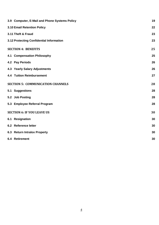|                                          | 3.9 Computer, E-Mail and Phone Systems Policy | 19 |
|------------------------------------------|-----------------------------------------------|----|
|                                          | 3.10 Email Retention Policy                   | 22 |
|                                          | 3.11 Theft & Fraud                            | 23 |
|                                          | 3.12 Protecting Confidential Information      | 23 |
|                                          | <b>SECTION 4: BENEFITS</b>                    | 25 |
|                                          | 4.1 Compensation Philosophy                   | 25 |
|                                          | 4.2 Pay Periods                               | 26 |
|                                          | 4.3 Yearly Salary Adjustments                 | 26 |
|                                          | <b>4.4 Tuition Reimbursement</b>              | 27 |
| <b>SECTION 5: COMMUNICATION CHANNELS</b> |                                               |    |
|                                          | 5.1 Suggestions                               | 28 |
|                                          | 5.2 Job Posting                               | 28 |
|                                          | 5.3 Employee Referral Program                 | 28 |
|                                          | <b>SECTION 6: IF YOU LEAVE US</b>             |    |
|                                          | 6.1 Resignation                               | 30 |
|                                          | 6.2 Reference letter                          | 30 |
|                                          | 6.3 Return Intralox Property                  | 30 |
|                                          | 6.4 Retirement                                | 30 |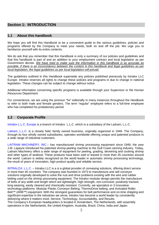# <span id="page-4-0"></span>**Section 1: INTRODUCTION**

### <span id="page-4-1"></span>**1.1 About this handbook**

We hope you will find this Handbook to be a convenient quide to the various quidelines, policies and programs offered by the Company to meet your needs, both on and off the job. We urge you to familiarize yourself with its entire contents.

We do ask that you remember that this Handbook is only a summary of our policies and guidelines and that this handbook is part of and an addition to your employment contract and local legislation as per Government decree. *We have tried to make sure the information in this handbook is as accurate as possible, if there is an inconsistency between the content in this handbook and legal guidelines as per local legislation, the legal guidelines as per local legislation will prevail.*

The guidelines outlined in this Handbook supersede any policies published previously by Intralox LLC Europe. Intralox reserves all rights to change these policies and programs in due to change in national legislation. These changes can be subject to change without notice.

Additional information concerning specific programs is available through your Supervisor or the Human Resources Department.

For convenience, we are using the pronoun "he" editorially in many instances throughout the Handbook to refer to both male and female genders. The term "regular" employee refers to a full-time employee who has completed his probationary period.

#### <span id="page-4-2"></span>**1.2 Corporate Profile**

Intralox L.L.C. Europe is a branch of Intralox L.L.C. which is a subsidiary of the Laitram, L.L.C.

[Laitram, L.L.C. i](http://www.laitram.com/)s a closely held, family owned business, originally organized in 1949. The Company, through its four wholly owned subsidiaries, operates worldwide offering unique and patented products to a wide range of industrial customers.

LAITRAM MACHINERY, INC. – has manufactured shrimp processing equipment since 1949, the year J.M. Lapeyre introduced his patented shrimp-peeling machine to the Gulf Coast canning industry. Today, Laitram Machinery offers a wide range of equipment for peeling, grading, deveining and cooking shrimp and other types of seafood. These products have been sold or leased in more than 35 countries around the world. Laitram is widely recognized as the world leader in automatic shrimp processing technology, the result of years of innovation, high product quality and reliable service.

[INTRALOX, L.L.C. –](http://www.intralox.com/) Intralox LLC is a is a global provider of conveying solutions, offering direct service in more than 40 countries. The company was founded in 1973 to manufacture and sell conveyor solutions originally developed to solve the rust and drive problems existing with the wire and rubber belting used on the shrimp processing equipment. The Intralox modular design permits the manufacture of belts of any width and length which are lightweight, high strength, non-corrosive, positively tracked, long wearing, easily cleaned and chemically resistant. Currently, we specialize in 3 innovative technology platforms: Modular Plastic Conveyor Belting, ThermoDrive belting, and Activated Roller Belt™ (ARB™) equipment. With the strongest guarantees for belt performance and on-time shipping and significant expertise in the industries we serve, Intralox has become a world leader by consistently delivering where it matters most: Service, Technology, Accountability, and Results. The Company's European headquarters is located in Amsterdam, The Netherlands, with assembly operations in the Netherlands, the United Kingdom, Australia, Brazil, China, India and Japan.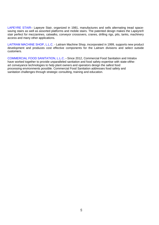[LAPEYRE STAIR–](http://www.lapeyrestair.com/) Lapeyre Stair, organized in 1981, manufactures and sells alternating tread spacesaving stairs as well as assorted platforms and mobile stairs. The patented design makes the Lapeyre® stair perfect for mezzanines, catwalks, conveyor crossovers, cranes, drilling rigs, pits, tanks, machinery access and many other applications.

[LAITRAM MACHINE SHOP,](http://www.laitrammachineshop.com/) L.L.C. - Laitram Machine Shop, incorporated in 1999, supports new product development and produces cost effective components for the Laitram divisions and select outside customers.

COMMERCIAL FOOD SANITATION, L.L.C. **-** Since 2012, Commercial Food Sanitation and Intralox have worked together to provide unparalleled sanitation and food safety expertise with state-oftheart conveyance technologies to help plant owners and operators design the safest food processing environments possible. Commercial Food Sanitation addresses food safety and sanitation challenges through strategic consulting, training and education.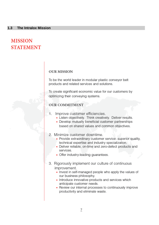# <span id="page-6-0"></span>**MISSION STATEMENT**

# **OUR MISSION**

To be the world leader in modular plastic conveyor belt products and related services and solutions.

To create significant economic value for our customers by optimizing their conveying systems.

# **OUR COMMITMENT**

- Improve customer efficiencies. 1.
	- Listen objectively. Think creatively. Deliver results.
	- Develop mutually beneficial customer partnerships based on shared values and common objectives.
- 2. Minimize customer downtime.
	- Provide extraordinary customer service: superior quality, technical expertise and industry specialization.
	- Deliver reliable, on-time and zero-defect products and services.
	- Offer industry-leading guarantees.
- 3. Rigorously implement our culture of continuous improvement.
	- Invest in self-managed people who apply the values of our business philosophy.
	- Introduce innovative products and services which anticipate customer needs.
	- Review our internal processes to continuously improve productivity and eliminate waste.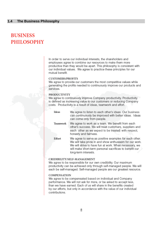# <span id="page-7-0"></span>**BUSINESS PHILOSOPHY**

In order to serve our individual interests, the shareholders and employees agree to combine our resources to make them more productive than they would be apart. This philosophy is consistent with our individual values. We agree to practice these principles for our mutual benefit.

#### **CUSTOMERS/PROFITS**

We agree to provide our customers the most competitive values while generating the profits needed to continuously improve our products and services.

#### **PRODUCTIVITY**

We agree to continuously improve Company productivity. Productivity is defined as increasing value to our customers or reducing Company costs. Productivity is a result of ideas, teamwork and effort.

| <b>I</b> deas   | We agree to listen to each other's ideas. Our business<br>can continuously be improved with better ideas. Ideas<br>can come only from people.                                                                                                                  |
|-----------------|----------------------------------------------------------------------------------------------------------------------------------------------------------------------------------------------------------------------------------------------------------------|
| <b>Teamwork</b> | We agree to work as a team. We benefit from each<br>other's success. We will treat customers, suppliers and<br>each other as we expect to be treated: with respect,<br>honesty and fairness.                                                                   |
| Effort          | We agree to serve as positive examples for each other.<br>We will take pride in and show enthusiasm for our work.<br>We will strive to have fun at work. When necessary, we<br>will make short-term personal sacrifices to benefit our<br>long-term interests. |

#### CREDIBILITY/SELF-MANAGEMENT

We agree to be responsible for our own credibility. Our maximum productivity can be achieved only through self-managed people. We will each be self-managed. Self-managed people are our greatest resource.

#### **COMPENSATION**

We agree to be compensated based on individual and Company performance. We will not ask for more, or be asked to accept less, than we have earned. Each of us will share in the benefits created by our efforts, but only in accordance with the value of our individual contributions.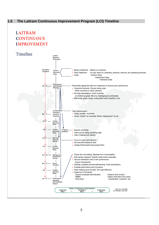# <span id="page-8-0"></span>**1.5 The Laitram Continuous Improvement Program (LCI) Timeline**

# **LAITRAM CONTINUOUS IMPROVEMENT**

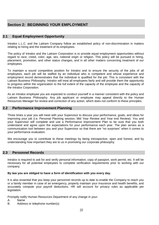# <span id="page-9-0"></span>**Section 2: BEGINNING YOUR EMPLOYMENT**

## <span id="page-9-1"></span>**2.1 Equal Employment Opportunity**

Intralox L.L.C. and the Laitram Company follow an established policy of non-discrimination in matters relating to hiring and the treatment of its employees.

The policy of Intralox and the Laitram Corporation is to provide equal employment opportunities without regard to race, creed, color, age, sex, national origin or religion. This policy will be pursued in hiring, placement, promotion, and other status changes, and in all other matters concerning treatment of our employees.

To maintain a sound competitive position for Intralox and to ensure the security of the jobs of all employees, each job will be staffed by an individual who is competent and whose experience and employment record demonstrates that the individual is qualified for the job. This is consistent with the Laitram Business Philosophy. Intralox will treat all employees fairly and will provide them the opportunity to progress within the organization to the full extent of the capacity of the employee and the capacity of the Intralox Corporation.

As an Intralox employee you are expected to conduct yourself in a manner consistent with the policy and Laitram Business Philosophy. Any job applicant or employee may appeal directly to the Human Resources Manager for review and correction of any action, which does not conform to these principles.

#### <span id="page-9-2"></span>**2.2 Performance Improvement Planning**

Three times a year you will meet with your Supervisor to discuss your performance, goals, and ideas for improving your job (i.e. Personal Planning session, Mid Year Review and Year end Review). You and your Supervisor will complete and use a Performance Improvement Plan to be sure that you both understand and agree upon the expectations for your performance each year. The plan serves as a communication tool between you and your Supervisor so that there are "no surprises" when it comes to your performance evaluation.

We encourage you to contribute to these meetings by being introspective, open and honest, and by understanding how important they are to us in promoting our corporate philosophy.

#### <span id="page-9-3"></span>**2.3 Personnel Records**

Intralox is required to ask for and verify personal information, copy of passport, work permit, etc. It will be necessary for all potential employees to complete verification requirements prior to working with our company.

#### **By law you are obliged to have a form of identification with you every day.**

It is also essential that you keep your personnel records up to date to enable the Company to reach you or a family member in case of an emergency, properly maintain your insurance and health benefits, and accurately compute your payroll deductions. HR will account for privacy rules as applicable per legislation.

Promptly notify Human Resources Department of any change in your:

- A. Name<br>B. Addres
- Address or telephone number(s)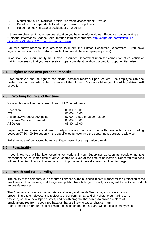- C. Marital status, i.e. Marriage, Official "Samenlevingscontract", Divorce
- D. Beneficiary or dependents listed on your insurance policies<br>E. Person to notify in case of accident or emergency
- Person to notify in case of accident or emergency

If there are changes iin your personal situation you have to inform Human Resources by submitting a "Personal Information Change Form" through Intralox sharepoint. [http://corporate-portal/sites/HR-](http://corporate-portal/sites/HR-Online/Lists/Address%20Change/NewForm.aspx)[Online/Lists/Address%20Change/NewForm.aspx](http://corporate-portal/sites/HR-Online/Lists/Address%20Change/NewForm.aspx)

For own safety reasons, it is advisable to inform the Human Resources Department if you have significant medical problems (for example if you are diabetic or epileptic patient).

In addition, you should notify the Human Resources Department upon the completion of education or training courses so that you may receive proper consideration should promotion opportunities arise.

### <span id="page-10-0"></span>**2.4 Rights to see own personal records**

Each employee has the right to see his/her personal records. Upon request - the employee can see his/her personal records in the presence of the Human Resources Manager. **Local legislation will prevail.**

#### <span id="page-10-1"></span>**2.5 Working hours and flex time**

Working hours within the different Intralox LLC departments:

| Reception                   | $08:30 - 16:00$                    |
|-----------------------------|------------------------------------|
| <b>ITS</b>                  | $08:00 - 18:00$                    |
| Assembly/Warehouse/Shipping | $07:00 - 15:30$ or $08:00 - 16:30$ |
| Customer Service in general | $08:00 - 18:00$                    |
| <b>All Others</b>           | $08:30 - 17:00$                    |

Department managers are allowed to adjust working hours and go to flextime within limits (Starting between 07.30 - 09.30) but only if the specific job function and the department's structure allow so.

Full time Intralox' contracted hours are 40 per week. Local legislation prevails.

#### <span id="page-10-2"></span>**2.6 Punctuality**

If you know you will be late reporting for work, call your Supervisor as soon as possible (no text messages). An estimated time of arrival should be given at the time of notification. Repeated tardiness will result in disciplinary action and a lack of improvement thereafter may result in discharge.

#### <span id="page-10-3"></span>**2.7 Health and Safety Policy**

The policy of the company is to conduct all phases of the business in safe manner for the protection of the employees, other workers, and the general public. No job, large or small, is so urgent that is to be conducted in an unsafe manner**.** 

The Company recognizes the importance of safety and health. We manage our operations to prevent injury to employees, the residents of our community, and all visitors to our facilities. To that end, we have developed a safety and health program that strives to provide a place of employment free from recognized hazards that are likely to cause physical harm. Safety and health are responsibilities that must be shared equally and without exception by each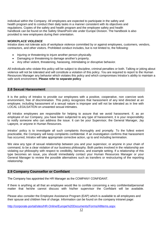individual within the Company. All employees are expected to participate in the safety and health program and to conduct their daily tasks in a manner consistent with its objectives and regulations. Copies of the safety and health program and the employee safety and health handbook can be found on the Safety SharePoint site under Europe Division. The handbook is also provided to new employees during their orientation.

#### *WORKPLACE VIOLENCE*

Intralox does not tolerate acts of workplace violence committed by or against employees, customers, vendors, contractors, and other visitors. Prohibited conduct includes, but is not limited to, the following:

- Injuring or threatening to injure another person physically.
- Damaging or threatening to damage another's property.
- Any other violent, threatening, harassing, intimidating or disruptive behavior.

All individuals who violate this policy will be subject to discipline, criminal penalties or both. Talking or joking about violence will not be tolerated and will constitute a violation of this policy. You are required to report to the Human Resources Manager any behavior which violates this policy and which compromises Intralox's ability to maintain a safe work environment. **Please refer to separate policy**

#### <span id="page-11-0"></span>**2.8 Sexual Harassment**

It is the policy of Intralox to provide our employees with a positive, cooperative, non coercive work environment, free of discrimination. This policy recognizes that harassment of any kind directed at an employee, including harassment of a sexual nature is improper and will not be tolerated as in line with LOCAL LEGILSATION on unwanted sexual intimates.

All Intralox employees are responsible for helping to assure that we avoid harassment. If, as an employee of our Company, you have been subjected to any type of harassment, it is your responsibility to notify someone who can address the issue. It can be your Supervisor, the General Manager, Jay Lapeyre, or anyone in Human Resources.

Intralox' policy is to investigate all such complaints thoroughly and promptly. To the fullest extent practicable, the Company will keep complaints confidential. If an investigation confirms that harassment has occurred, Intralox will take appropriate corrective action, up to and including termination.

We view any type of sexual relationship between you and your supervisor, or anyone in your chain of command, to be a clear violation of our business philosophy. Both parties involved in the relationship are violating our philosophy with respect to credibility, fairness, and example setting. If a relationship of this type becomes an issue, you should immediately contact your Human Resources Manager or your General Manager to review the possible alternatives such as transfers or restructuring of the reporting relationship.

#### <span id="page-11-1"></span>**2.9 Company Counsellor or Confidant**

The Company has appointed the HR Manager as the COMPANY CONFIDANT.

If there is anything at all that an employee would like to confide concerning a very confidential/personal matter that he/she cannot discuss with his/her supervisor the Confidant will be available.

Please also consider the Employee Assistance Program (EAP) which is available to all employees and their spouse and children free of charge. Information can be found on the company intranet page: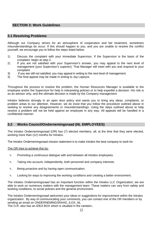# <span id="page-12-0"></span>**SECTION 3: Work Guidelines**

# <span id="page-12-1"></span>**3.1 Resolving Problems**

Although our Company strives for an atmosphere of cooperation and fair treatment, sometimes misunderstandings do occur. If this should happen to you, and you are unable to resolve the conflict yourself, we encourage you to follow the steps listed below.

- 1) Discuss the complaint with your immediate Supervisor. If the Supervisor is the basis of the complaint, begin at step 2.
- 2) If you are not satisfied with your Supervisor's answer, you may appeal to the next level of management (your Supervisor's superior). That Manager will meet with you and respond to your complaint.
- 3) If you are still not satisfied, you may appeal in writing to the next level of management.
- 4) The final appeal may be made in writing to Jay Lapeyre.

Throughout the process to resolve the problem, the Human Resources Manager is available to the employee and/or the Supervisor for help in interpreting policies or to help expedite a decision. His role is as an advisor only, and the ultimate decision is made by the Company management.

Intralox believes strongly in an open door policy and wants you to bring any ideas, complaints, or problem areas to our attention. However, we do insist that you follow the procedure outlined above in seeking to resolve any disagreements or misunderstandings. Using the steps outlined above to help resolve a problem will not be held against an employee in any way. All appeals will be handled in a confidential manner.

### <span id="page-12-2"></span>**3.2 Works Council/Ondernemingsraad (NL EMPLOYEES)**

The Intralox Ondernemingsraad (OR) has (7) elected members, all, at the time that they were elected, working more than (12) months for Intralox.

The Intralox Ondernemingsraad mission statement is to make Intralox the best company to work for.

The OR tries to achieve this by:

- $\&$  Promoting a continuous dialogue with and between all Intralox employees.
- $\mathcal{L}$  Taking into account, independently, both personnel and company interests.
- $\&$  Being proactive and by having open communication.
- $\&$  Looking for ways to improving the working conditions and creating a better environment.

The Intralox Ondernemingsraad has an important function within the Intralox LLC Organization; we are able to work on numerous matters with the management team. These matters can vary from safety and working conditions, to social policies and the general environment.

The Intralox Ondernemingsraad welcomes your ideas or suggestions for improvement within the Intralox organization. By way of communicating your comments, you can contact one of the OR members or by sending an email on ONDERNEMINGSRAAD\_ILOX\_NL

The O.R. also has an IDEA BOX which is situated in the canteen..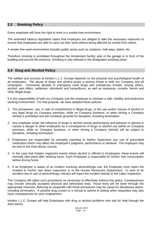# <span id="page-13-0"></span>**3.3 Smoking Policy**

Every employee will have the right to work in a smoke-free environment.

The amended tobacco legislation states that employers are obliged to take the necessary measures to ensure that employees are able to carry out their work without being affected by smoke from others.

A smoke free work-environment includes public areas such as canteens, hall-ways, toilets, etc.

Therefore smoking is prohibited throughout the Amsterdam facility; also in the garage or in front of the building and around the entrance. Smoking is only allowed in the designated smoking areas.

#### <span id="page-13-1"></span>**3.4 Drug and Alcohol Policy**

The welfare and success of Intralox L.L.C. Europe depends on the physical and psychological health of all employees. The abuse of drugs and alcohol poses a serious threat to both our Company and all employees. Commonly abused or improperly used drugs and substances include, among others, alcohol, pain killers, sedatives, stimulants and tranquilizers, as well as marijuana, cocaine, heroin and other illegal drugs.

It is the responsibility of both our Company and the employee to maintain a safe, healthy and productive working environment. For that purpose, we have adopted these policies:

- 1. The possession, use, or sale of unauthorized or illegal drugs, or the use and/or misuse of alcohol or any legal drugs on Company premises, while on Company business, or when driving a Company vehicle is prohibited and will constitute grounds for discipline, including termination.
- 2. Any employee under the influence of drugs or alcohol whose performance and behavior is altered or causes a danger to other employees as a consequence of drugs or alcohol use (while on Company premises, while on Company business, or when driving a Company vehicle) will be subject to discipline, including termination.
- 3. Employees are responsible for promptly reporting to his/her Supervisor any use of prescribed medication which may affect the employee's judgment, performance or behavior. The employee may be sent to the Arbo-doctor consult.
- 4. In the case that Intralox organizes events where alcohol is offered to Employees; these events will normally take place after working hours. Each Employee is responsible for his/her own consumption before driving home.
- 5. If an Employee is aware of an incident involving alcohol/drugs use, the Employee must report the incident to his/her own direct supervisor or to the Human Resources Department. In case of an accident due to use of alcohol/drugs, Intralox will report the incident directly to the Labor Inspection.

The Company will utilize such procedures as necessary to effectively enforce this policy. Consequences may include clinically accepted physical and behavioral tests. Those tests will be done through the appropriate channels. Refusing to cooperate with these procedures may be cause for disciplinary action, including termination. A positive drug screen or a refusal to submit to testing when requested may also have consequences for your employment.

Intralox L.L.C. Europe will help Employees with drug or alcohol problems who ask for help through the Arbo doctor.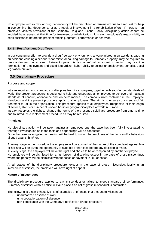No employee with alcohol or drug dependency will be disciplined or terminated due to a request for help in overcoming that dependency or as a result of involvement in a rehabilitation effort. If, however, an employee violates provisions of the Company Drug and Alcohol Policy, disciplinary action cannot be avoided by a request at that time for treatment or rehabilitation. It is each employee's responsibility to seek assistance before the problem affects judgment, performance or behavior.

#### **3.4.1 Post Accident Drug Tests**

In our continuing effort to provide a drug-free work environment, anyone injured in an accident, causing an accident, causing a serious "near miss", or causing damage to Company property, may be required to pass a drug/alcohol screen. Failure to pass this test or refusal to submit to testing may result in termination of employment and could jeopardize his/her ability to collect unemployment benefits. Local legislation prevails.

#### <span id="page-14-0"></span>**3.5 Disciplinary Procedure**

#### **Purpose and scope**

Intralox requires good standards of discipline from its employees, together with satisfactory standards of work. The present procedure is designed to help and encourage all employees to achieve and maintain standards of conduct, attendance and job performance. The company rules contained in the Employee Handbook and the present procedure apply to all employees. The aim is to ensure consistent and fair treatment for all in the organization. This procedure applies to all employees irrespective of their length of service, status or number of worked hours or geographical place of work in Europe.

Intralox reserves the right to change the terms of the present disciplinary procedure from time to time and to introduce a replacement procedure as may be required.

#### **Principles**

No disciplinary action will be taken against an employee until the case has been fully investigated. A thorough investigation as to the facts and happenings will be conducted.

Once the case investigated, a meeting will be held to inform the employee of the facts and/or behaviors alleged against him/her.

At every stage in the procedure the employee will be advised of the nature of the complaint against him or her and will be given the opportunity to state his or her case before any decision is made.

At every stage, the employee will have the right and choice to be accompanied by another employee.

No employee will be dismissed for a first breach of discipline except in the case of gross misconduct, where the penalty will be dismissal without notice or payment in lieu of notice.

At all stages of the disciplinary procedure, except in the case of gross misconduct justifying an immediate dismissal, the employee will have right of appeal.

#### **Nature of misconduct**

The disciplinary procedure applies to any misconduct or failure to meet standards of performance. Summary dismissal without notice will take place if an act of gross misconduct is committed.

The following is a non-exhaustive list of examples of offences that amount to Misconduct:

- unauthorized absence of work
- unacceptable pattern of absence
- non-compliance with the Company's notification illness procedure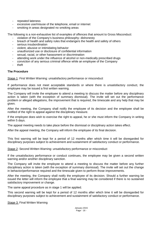- repeated lateness
- excessive use/misuse of the telephone, email or internet
- smoking in areas designated no smoking areas

The following is a non-exhaustive list of examples of offences that amount to Gross Misconduct:

- violation of the Company's business philosophy- dishonesty
- breach of health and safety rules that endangers the health and safety of others
- serious insubordination
- violent, abusive or intimidating behavior
- unauthorized use or disclosure of confidential information
- sexual, racial, or other harassment or discrimination
- attending work under the influence of alcohol or non-medically prescribed drugs
- conviction of any serious criminal offence while an employee of the Company
- theft

#### **The Procedure**

Stage 1: First Written Warning: unsatisfactory performance or misconduct

If performance does not meet acceptable standards or where there is unsatisfactory conduct, the employee may be issued a first written warning.

The Company will invite the employee to attend a meeting to discuss the matter before any disciplinary action is taken (with the exception of summary dismissal). The invite will set out the performance problem or alleged allegations, the improvement that is required, the timescale and any help that may be given.

After the meeting, the Company shall notify the employee of its decision and the employee shall be notified of the right to appeal against the disciplinary measure.

If the employee does wish to exercise the right to appeal, he or she must inform the Company in writing within 5 days.

The appeal meeting needs to take place before the dismissal or disciplinary action takes effect.

After the appeal meeting, the Company will inform the employee of its final decision.

This first warning will be kept for a period of 12 months after which time it will be disregarded for disciplinary purposes subject to achievement and sustainment of satisfactory conduct or performance.

Stage 2: Second Written Warning: unsatisfactory performance or misconduct

If the unsatisfactory performance or conduct continues, the employee may be given a second written warning and/or another disciplinary sanction.

The Company will invite the employee to attend a meeting to discuss the matter before any further disciplinary action is taken (with the exception of summary dismissal). The invite will set out the change in behavior/performance required and the timescale given to perform those improvements.

After the meeting, the Company shall notify the employee of its decision. Should a further warning be issued the letter will inform the employee that a final warning may be considered if there is no sustained satisfactory improvement or change.

The same appeal procedure as in stage 1 will be applied.

This second warning will be kept for a period of 12 months after which time it will be disregarded for disciplinary purposes subject to achievement and sustainment of satisfactory conduct or performance.

Stage 3: Final Written Warning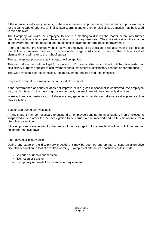If the offence is sufficiently serious, or there is a failure to improve during the currency of prior warnings for the same type of offence, a Final Written Warning and/or another disciplinary sanction may be issued to the employee.

The Company will invite the employee to attend a meeting to discuss the matter before any further disciplinary action is taken (with the exception of summary dismissal). The invite will set out the change in behavior/performance required and the timescale given to perform those improvements.

After the meeting, the Company shall notify the employee of its decision. It will also warn the employee that failure to improve may lead to action under stage 4 (dismissal or some other action short of dismissal), and will refer to the right of appeal.

The same appeal procedure as in stage 1 will be applied.

This second warning will be kept for a period of 12 months after which time it will be disregarded for disciplinary purposes subject to achievement and sustainment of satisfactory conduct or performance.

This will give details of the complaint, the improvement required and the timescale.

Stage 4: Dismissal or some other action short of dismissal

If the performance or behavior does not improve or if a gross misconduct is committed, the employee may be dismissed. In the case of gross misconduct, the employee will be summarily dismissed.

In exceptional circumstances, or if there are any genuine circumstances, alternative disciplinary action may be taken.

#### Suspension during an investigation

At any stage it may be necessary to suspend an employee pending an investigation. If an employee is suspended it is in order for the investigation to be carried out unimpeded and, in this situation is not a disciplinary sanction.

If the employee is suspended for the needs of the investigation for example, it will be on full pay and for no longer than five days.

#### Alternative disciplinary action

During any stage of the disciplinary procedure it may be deemed appropriate to issue an alternative disciplinary sanction to that of a written warning. Examples of alternative sanctions could include:

- A period of unpaid suspension
- Demotion or transfer
- Temporary removal of an incentive or pay element.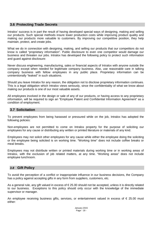#### <span id="page-17-0"></span>**3.6 Protecting Trade Secrets**

Intralox' success is in part the result of having developed special ways of designing, making and selling our products. Such special methods insure lower production costs while improving product quality and making our products more valuable to customers. By improving our competitive position, they help maintain, protect, and create jobs.

What we do in connection with designing, making, and selling our products that our competitors do not know is called "proprietary information". Public disclosure to even one competitor would damage our business and threaten our jobs. Intralox has developed the following policy to protect such information and guard against disclosure:

Never discuss engineering, manufacturing, sales or financial aspects of Intralox with anyone outside the company except when needed for legitimate company business. Also, use reasonable care in talking company business with fellow employees in any public place. Proprietary information can be unintentionally "leaked" in such situations.

Should you leave Intralox for any reason, the obligation not to disclose proprietary information continues. This is a legal obligation which Intralox views seriously, since the confidentiality of what we know about making our products is one of our most valuable assets.

All employees involved in the design or sale of any of our products, or having access to any proprietary information, will be required to sign an "Employee Patent and Confidential Information Agreement" as a condition of employment.

#### <span id="page-17-1"></span>**3.7 Solicitation**

To prevent employees from being harassed or pressured while on the job, Intralox has adopted the following policies:

Non-employees are not permitted to come on Intralox property for the purpose of soliciting our employees for any cause or distributing any written or printed literature or materials of any kind.

Employees may not solicit other employees for any cause while either the employee doing the soliciting or the employee being solicited is on working time. "Working time" does not include coffee breaks or meal breaks.

Employees may not distribute written or printed materials during working time or in working areas of Intralox, with the exclusion of job related matters, at any time. "Working areas" does not include employee lunchroom.

#### <span id="page-17-2"></span>*3.8* **Gift Policy**

To avoid the perception of a conflict or inappropriate influence in our business decisions, the Company has a policy against accepting gifts in any form from suppliers, customers, etc.

As a general rule, any gift valued in excess of € 25.00 should not be accepted, unless it is directly related to our business. Exceptions to this policy should only occur with the knowledge of the immediate supervisor or manager.

An employee receiving business gifts, services, or entertainment valued in excess of  $\epsilon$  25.00 must either: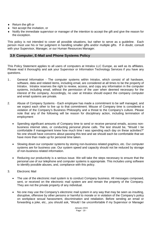- ♦ Return the gift or
- ♦ Not accept the invitation, or
- ♦ Notify the immediate supervisor or manager of the intention to accept the gift and give the reason for the exception.

This policy is not intended to cover all possible situations, but rather to serve as a guideline. Each person must use his or her judgment in handling smaller gifts and/or multiple gifts. If in doubt, consult with your Supervisor, Manager, or our Human Resources Manager.

#### <span id="page-18-0"></span>**3.9 Computer, E-Mail and Phone Systems Policy**

This Policy Statement applies to all users of computers at Intralox LLC Europe, as well as its affiliates. Please read it thoroughly and ask your Supervisor or Information Technology Services if you have any questions.

- 1. General Information The computer systems within Intralox, which consist of all hardware, software, data and related items, including email, are considered at all times to be the property of Intralox. Intralox reserves the right to review, access, and copy any information in the computer systems, including email, without the permission of the user when deemed necessary for the interest of the company. Accordingly, no user at Intralox should expect the company computer and email systems are private.
- 2. Abuse of Company Systems Each employee has made a commitment to be self managed, and we expect each other to live up to that commitment. Misuse of Company time is considered a violation of the Company's Business Philosophy and a threat to the Company's culture. Please note that any of the following will be reason for disciplinary action, including termination of employment
	- Spending significant amounts of Company time to send or receive personal emails, access nonbusiness internet sites, or conducting personal phone calls. The test should be, "Would I be comfortable if management knew how much time I was spending each day on these activities?" No one should have concerns about passing this test and we should each be comfortable that we have more than made up for personal time taken.
	- Slowing down our computer systems by storing non-business related graphics, etc. Our computer systems are for business use. Our system speed and capacity should not be reduced by storage of non-business related information.
	- Reducing our productivity is a serious issue. We will take the steps necessary to ensure that the personal use of our telephone and computer systems is appropriate. This includes using software to identify possible abuses, and, compliance with this policy.
- 3. Electronic Mail
	- The use of the electronic mail system is to conduct Company business. All messages composed, sent, or received on the electronic mail system are and remain the property of the Company. They are not the private property of any individual.
	- No one may use the Company's electronic mail system in any way that may be seen as insulting, disruptive, offensive by other persons or harmful to morale or in violation of the Company's policy on workplace sexual harassment, discrimination and retaliation. Before sending an email or forwarding a joke, etc., you should ask, "Would I be uncomfortable if my Supervisor or Manager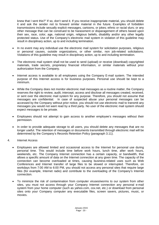knew that I sent this?" If so, don't send it. If you receive inappropriate material, you should delete it and ask the sender not to forward similar material in the future. Examples of forbidden transmissions include sexually explicit messages, cartoons, or jokes; ethnic or racial slurs; or any other message that can be construed to be harassment or disparagement of others based upon their sex, race, color, age, national origin, religious beliefs, disability and/or any other legally protected status. Use of the Company's electronic mail system in violation of this guideline may result in disciplinary action, up to and including termination.

- In no event may any individual use the electronic mail system for solicitation purposes, religious or personal causes, outside organizations, or other similar, non job-related solicitations. Violations of this guideline may result in disciplinary action, up to and including termination.
- The electronic mail system shall not be used to send (upload) or receive (download) copyrighted materials, trade secrets, proprietary financial information, or similar materials without prior authorization from the Company.
- Internet access is available to all employees using the Company E-mail system. The intended purpose of this Internet access is for business purposes. Personal use should be kept to a minimum.
- While the Company does not monitor electronic mail messages as a routine matter, the Company reserves the right to review, audit, intercept, access and disclose all messages created, received, or sent over the electronic mail system for any purpose. Therefore, you should not assume that messages are confidential. In case of suspected abuse your personal messages can be accessed by the Company without prior notice, you should not use electronic mail to transmit any messages you would not want read by a third party. No user of the electronic mail system should expect messages to be private.
- Employees should not attempt to gain access to another employee's messages without their permission.
- In order to provide adequate storage to all users, you should delete any messages that are no longer useful. The retention of messages or documents transmitted through electronic mail will be determined by the Company's Records Retention Policy (paragraph 3.11).
- 4. Internet Access
	- Employees are allowed limited and occasional access to the Internet for personal use during personal time. This would include time before work hours, lunch time, after work hours, weekends, etc. The Company Internet connection has a certain capacity, or bandwidth, that allows a specific amount of data on the Internet connection at any given time. The capacity of the connection can become overloaded at times, causing business-related uses such as Web Conferences and Internet transfer of large files to be slowed or interrupted. Therefore, on workdays from 7:00 AM to 6:00 PM, you should not access any personal sites that require large files (for example, Internet radio) and contribute to the overloading of the Company's Internet connection.
	- To minimize the risk of contamination from computer viruses/worms to our system from other sites, you must not access through your Company Internet connection any personal e-mail system from your home computer (such as yahoo.com, cox.net, etc.) or download from personal sites onto your Company computer any executable files, screen savers, pictures, music, or movies.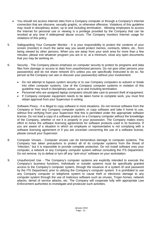- You should not access Internet sites from a Company computer or through a Company's Internet connection that are obscene, sexually graphic, or otherwise offensive. Violations of this guideline may result in disciplinary action, up to and including termination. Allowing employees to access the Internet for personal use or viewing is a privilege provided by the Company that can be revoked at any time if widespread abuse occurs. The Company monitors Internet usage for violations of this policy.
- 5. Safeguarding Your Computer Monitor It is your responsibility to protect the contents of your screen (monitor) in much the same way you would protect memos, contracts, letters, etc., from being viewed by other persons. When you are away from your work area for more than a few minutes, please exit whatever program you are in or, at a minimum, close any open documents that you may be working on.
- 6. Security The Company places emphasis on computer security to protect its programs and data files from damage or access to data from unauthorized persons. Do not give other persons your password(s) and do not share network ID's unless you are specifically instructed to do so. No person at the Company can see or discover your password(s) without your involvement.
	- Do not attempt to bypass system security or to use Company computers to subvert or break into other computer systems. Use of the Company computer systems in violation of this guideline may result in disciplinary action, up to and including termination.
	- Personnel who are assigned laptop computers should take care to prevent theft of equipment.
	- If Company computer equipment needs to be taken home to complete work, you must first obtain approval from your Supervisor in writing.
- 7. Software Piracy It is illegal to copy software in most situations. Do not remove software from the Company or from any Company computer system, or copy software and take it home to use, without first verifying from your Supervisor that this is permitted under the appropriate software license. Do not load a copy of a software product on a Company computer without the knowledge of the Company, whether or not it is properly in your possession. The Company makes every effort to honor the software licensing agreements for software products used in its business. If you are aware of a situation in which an employee or representative is not complying with a software licensing agreement or if you are uncertain concerning the use of a software license, please consult your Supervisor.
- 8. Computer Viruses Computer viruses can do tremendous damage to computer systems. The Company has taken precautions to protect all of its computer systems from the threat of "infection," but it is impossible to provide complete protection. Do not install software onto your computer, a network or any Company computer system without consulting the ITS Department. Do not remove, try to defeat or turn off any "anti-virus" software on your workstation.
- 9. Unauthorized Use The Company's computer systems are explicitly intended to execute the Company's business functions. Individuals or outside systems must be specifically granted access to the Company's computer system, through the issuance of a system ID and password by the ITS Department, prior to utilizing the Company's computer system. It is prohibited to use any Company computer or telephone system to cause theft or electronic damage to any computer system through the use of malicious software such as viruses, Trojan horses, network attacks, denial of service attacks, etc. The Company will cooperate fully with appropriate Law Enforcement authorities to investigate and prosecute such activities.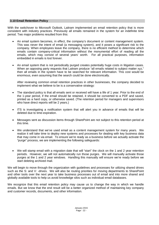#### <span id="page-21-0"></span>**3.10 Email Retention Policy**

With the switchover to Microsoft Outlook, Laitram implemented an email retention policy that is more consistent with industry practices. Previously all emails remained in the system for an indefinite time period. Two major problems resulted from this:

- An email system becomes, in effect, the company's document or content management system. This was never the intent of email (a messaging system), and it poses a significant risk to the company. When employees leave the company, there is no efficient method to determine which emails contain company-critical information without the monumental effort of reading all the emails, which may consist of several years' worth. For all practical purposes, information embedded in emails is lost forever.
- An email system that is not periodically purged creates potentially huge costs in litigation cases. When an opposing party requests that Laitram produce "all emails related to subject matter xyz," then all emails in the system have to be searched for relevant information. This cost would be enormous, even assuming that the search could be done electronically.

After reviewing common email retention practices in other businesses, the company decided to implement what we believe to be is a conservative strategy:

- The standard policy is that all emails sent or received will have a life of 1 year. Prior to the end of the 1-year period, if the email should be retained, it should be converted to a PDF and saved, printed as a hard copy, or otherwise saved. (The retention period for managers and supervisors who have direct reports will be 2 years.)
- ITS is investigating a notification system that will alert you in advance of emails that will be deleted due to time-expiration.
- Messages sent as discussion items through SharePoint are not subject to this retention period at this time.
- We understand that we've used email as a content management system for many years. We realize it will take time to deploy new systems and processes for dealing with key business data that may come in via email. To ensure we're ready as a business before we actually activate the "purge" process, we are implementing the following safeguards:
- We will stamp email with a migration date that will "start" the clock on the 1 and 2 year retention periods. However, we will not automatically run those purges. We will manually activate those purges at the 1 and 2 year windows. Handling this manually will ensure we're ready before we start deleting archived mail.

We will begin to move through the organization with guidelines and processes for utilizing shared drives such as the S: and V: -drives. We will also be routing priorities for moving departments to SharePoint and other tools over the next year to take business processes out of email and into more shared and globally available tools to help us avoid knowledge silos such as individual email databases.

We recognize that this email retention policy may cause us to change the way in which we handle emails. But we know that the end result will be a better organized method of maintaining key company and customer records, documents, and other information.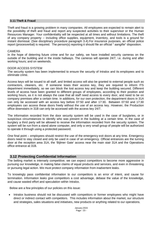#### <span id="page-22-0"></span>**3.11 Theft & Fraud**

Theft and fraud is a growing problem in many companies. All employees are expected to remain alert to the possibility of theft and fraud and report any suspected activities to their supervisor or the Human Resources Manager. Your confidentiality will be respected at all times and without limitations. The theft of any company property -- including office supplies, equipment, inventory, and tools is a ground for instant dismissal. (See disciplinary procedure paragraph 3.4).For insurance purposes, an official police report (procesverbal) is required. The person(s) reporting it should file an official " aangifte" disposition.

#### CAMERA

In the hope of deterring future crime and for our safety, we have installed security cameras on the outside of the building and in the inside hallways. The cameras will operate 24/7, i.e. during and after working hours; and on weekends.

#### DOOR ACCESS SYSTEM

The security system has been implemented to ensure the security of Intralox and its employees and to eliminate crime.

Access keys will be issued to all staff, and limited access will also be granted to external people such as contractors, cleaners, etc. If someone loses their access key, they are required to inform ITS department immediately, so we can block the lost access key and keep the building secured. Different levels of access have been granted to different groups of employees, according to their position and working hours, as it is not always the case that all staff need access to every door, and need to be on company premises after a certain time. In additions, for our own protection, the department doors in 31A can only be accessed with an access key before 07:50 and after 17:30. Between 07:50 and 17:30 employees can access these doors freely without the use of an access key. However, the Production office downstairs in 31B can only be accessed with the access key 24/7.

The information recorded from the door security system will be used in the case of burglaries, or in suspicious circumstances to identify who was present in the building at a certain time. In the case of burglary a third party will be allowed to receive the information recorded from the security system. The system will be run from a stand alone computer, and only a very small group of people will be authorized to operate it through using a protected password.

One final point – employees should restrict the use of the emergency exit doors at any time. Emergency doors need to stay closed and only be used in case of an emergency. Official entrances are the turning door at the reception area 31A, the 'Bijlmer Gate' access near the main stair 31A and the Operations office entrance at 31B.

#### <span id="page-22-1"></span>**3.12 Protecting Confidential Information**

The belting market is intensely competitive; we can expect competitors to become more aggressive in pursuing our knowledge, in making false claims of equal products and services, and even in threatening or pursuing legal action. We must protect company information from inadvertent leaks.

To knowingly pass confidential information to our competitors is an error of intent, and cause for termination. Information leaks give competitors a cost advantage, debase the value of the knowledge, and cause wasted effort and speculation within Intralox.

Below are a few principles of our policies on this issue:

• Intralox business should not be discussed with competitors or former employees who might have direct or indirect contact with competitors. This includes information about the market, our structure and strategies, sales situations and initiatives, new products or anything related to our operations.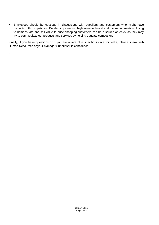• Employees should be cautious in discussions with suppliers and customers who might have contacts with competitors. Be alert in protecting high value technical and market information. Trying to demonstrate and sell value to price-shopping customers can be a source of leaks, as they may try to commoditize our products and services by helping educate competitors.

Finally, if you have questions or if you are aware of a specific source for leaks, please speak with Human Resources or your Manager/Supervisor in confidence

.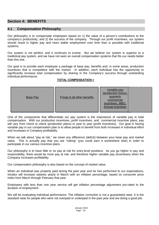# <span id="page-24-0"></span>**Section 4: BENEFITS**

### <span id="page-24-1"></span>**4.1 Compensation Philosophy**

Our philosophy is to compensate employees based on 1) the value of a person's contributions to the company's productivity, and 2) the success of the company. Through our profit incentives, our system should result in higher pay and more stable employment over time than is possible with traditional systems.

Our system is not perfect, and it continues to evolve. But we believe our system is superior to a traditional pay system, and we have not seen an overall compensation systems that fits our needs better than this one.

Our goal is to provide each employee a package of base pay, benefits and, in some areas, production incentives that is competitive with the market. In addition, each individual has the opportunity to significantly increase total compensation by sharing in the Company's success through outstanding individual performance.

#### **TOTAL COMPENSATION =**

| <b>Base Pay</b> | Fringe & all other benefits | Variable pay<br>$(production_{i}$<br>quarterly<br>commercial<br>incentives, MBO,<br>Annual incentive) |
|-----------------|-----------------------------|-------------------------------------------------------------------------------------------------------|
|-----------------|-----------------------------|-------------------------------------------------------------------------------------------------------|

One of the components that differentiate our pay system is the importance of variable pay in total compensation. With our production incentives, profit incentives, and commercial incentive plans, pay will vary from check to check (production plans) or year to year (profit incentives). Our goal in having variable pay in our compensation plan is to allow people to benefit from both increases in individual effort and increases in Company profitability.

When we talk about "pay at risk," we mean any difference (deficit) between your base pay and market value. This is actually pay that you are "risking" (you could earn it somewhere else) in order to participate in our various incentive plans.

Our philosophy is to have little or no pay at risk for entry-level positions. As you go higher in pay and responsibility, there would be more pay at risk, and therefore higher variable pay (incentives) when the Company increases profitability.

Our compensation philosophy is also based on the concept of market value.

When an individual was properly paid during the past year and he has performed to our expectations, Intralox will increase salaries yearly in March with an inflation percentage, based on consumer price index from March through February that year.

Employees with less than one year service will get inflation percentage adjustment pro-rated to the duration of employment.

We will be evaluating individual performance. The inflation correction is not a guaranteed raise. It is the standard raise for people who were not overpaid or underpaid in the past year and are doing a good job.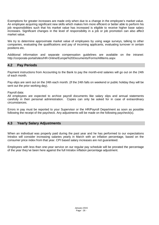Exemptions for greater increases are made only when due to a change in the employee's market value. An employee acquiring significant new skills which makes him more efficient or better able to perform his job responsibilities such that his market value has increased is eligible to receive higher base salary increases. Significant changes in the level of responsibility in a job or job promotion can also affect market value.

We try to determine approximate market value of employees by using wage surveys, talking to other companies, evaluating the qualifications and pay of incoming applicants, evaluating turnover in certain positions etc.

Additional information and separate compensation guidelines are available on the intranet: http://corporate-portal/sites/HR-Online/Europe%20Documents/Forms/AllItems.aspx

#### <span id="page-25-0"></span>**4.2 Pay Periods**

Payment instructions from Accounting to the Bank to pay the month-end salaries will go out on the 24th of each month.

Pay-slips are sent out on the 24th each month. (If the 24th falls on weekend or public holiday they will be sent out the prior working day).

Payroll data:

All employees are expected to archive payroll documents like salary slips and annual statements carefully in their personal administration. Copies can only be asked for in case of extraordinary circumstances.

Errors in pay must be reported to your Supervisor or the HR/Payroll Department as soon as possible following the receipt of the paycheck. Any adjustments will be made on the following paycheck(s).

# <span id="page-25-1"></span>**4.3 Yearly Salary Adjustments**

When an individual was properly paid during the past year and he has performed to our expectations Intralox will consider increasing salaries yearly in March with an inflation percentage, based on the consumer price index from that year. CPI based salary increases are not guaranteed.

Employees with less than one-year service on our regular pay schedule will be prorated the percentage of the year they've been here against the full Intralox inflation percentage adjustment.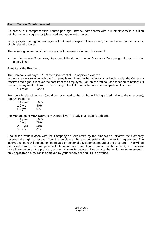#### <span id="page-26-0"></span>**4.4 Tuition Reimbursement**

As part of our comprehensive benefit package, Intralox participates with our employees in a tuition reimbursement program for job-related and approved courses.

In this program, a regular employee with at least one-year of service may be reimbursed for certain cost of job-related courses.

The following criteria must be met in order to receive tuition reimbursement:

• Your immediate Supervisor, Department Head, and Human Resources Manager grant approval prior to enrollment.

Benefits of the Program:

The Company will pay 100% of the tuition cost of pre-approved classes.

In case the work relation with the Company is terminated either voluntarily or involuntarily, the Company reserves the right to recover the cost from the employee. For job related courses (needed to better fulfil the job), repayment to Intralox is according to the following schedule after completion of course:

< 1 year 100%

For non job-related courses (could be not related to the job but will bring added value to the employee), repayment terms

< 1 year 100% 1-2 yrs 50% > 2 yrs 0%

For Management MBA (University Degree level) - Study that leads to a degree.

| < 1 year    | 100% |
|-------------|------|
| 1-2 yrs     | 75%  |
| $2 - 3$ yrs | 50%  |
| > 3 yrs     | 0%   |

Should the work relation with the Company be terminated by the employee's initiative the Company reserves the right to recover from the employee, the amount paid under the tuition agreement. The incurred amount will depend on job related or personal development nature of the program. This will be deducted from his/her final paycheck. To obtain an application for tuition reimbursement, or to receive more information on the program, contact Human Resources. Please note that tuition reimbursement is only applicable if a course is approved by your supervisor and HR in advance.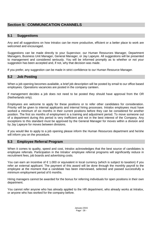# <span id="page-27-0"></span>**Section 5: COMMUNICATION CHANNELS**

# <span id="page-27-1"></span>**5.1 Suggestions**

Any and all suggestions on how Intralox can be more productive, efficient or a better place to work are welcomed and encouraged.

Suggestions can be made directly to your Supervisor, our Human Resources Manager, Department Managers, Business Unit Manager, General Manager, or Jay Lapeyre. All suggestions will be presented to management and considered seriously. You will be informed promptly as to whether or not your suggestion has been accepted and, if not, why that decision was made.

If you prefer, any suggestion can be made in strict confidence to our Human Resource Manager.

### <span id="page-27-2"></span>**5.2 Job Posting**

When a job opening becomes available, a brief job description will be posted by email to our office based employees. Operations vacancies are posted in the company canteen.

If management decides a job does not need to be posted they should have approval from the OR (Netherlands only).

Employees are welcome to apply for these positions or to refer other candidates for consideration. Priority will be given to internal applicants and internal hiring processes. Intralox employees must have worked a minimum of six months in their current positions before they can be considered for another position. The first six months of employment is a training and adjustment period. To move someone out of a department during this period is very inefficient and not in the best interest of the Company. Any exceptions to this standard must be approved by the General Manager for moves within a division and by Jay Lapeyre for moves between divisions.

If you would like to apply to a job opening please inform the Human Resources department and he/she will inform you on the procedure.

#### <span id="page-27-3"></span>**5.3 Employee Referral Program**

When it comes to quality, speed and cost, Intralox acknowledges that the best source of candidates is employee referrals. Participation in the Intralox' employee referral programs will significantly reduce in recruitment fees, job boards and advertising costs.

You can earn an incentive of  $\epsilon$  1.000 or equivalent in local currency (which is subject to taxation) if you refer an external applicant. The payment of this award will be done through the monthly payroll to the employee at the moment that a candidate has been interviewed, selected and passed successfully a minimum employment period of 6 months.

Hiring managers cannot be awarded for the bonus for referring individuals for open positions in their own department.

You cannot refer anyone who has already applied to the HR department, who already works at Intralox, or anyone who has worked for the company before.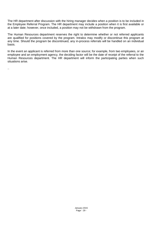The HR department after discussion with the hiring manager decides when a position is to be included in the Employee Referral Program. The HR department may include a position when it is first available or at a later date; however, once included, a position may not be withdrawn from the program.

The Human Resources department reserves the right to determine whether or not referred applicants are qualified for positions covered by the program. Intralox may modify or discontinue this program at any time. Should the program be discontinued, any in-process referrals will be handled on an individual basis.

In the event an applicant is referred from more than one source; for example, from two employees, or an employee and an employment agency, the deciding factor will be the date of receipt of the referral to the Human Resources department. The HR department will inform the participating parties when such situations arise.

..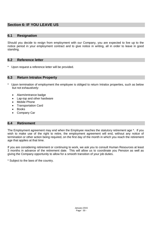# <span id="page-29-0"></span>**Section 6: IF YOU LEAVE US**

# <span id="page-29-1"></span>**6.1 Resignation**

Should you decide to resign from employment with our Company, you are expected to live up to the notice period in your employment contract and to give notice in writing, all in order to leave in good standing.

#### <span id="page-29-2"></span>**6.2 Reference letter**

\* Upon request a reference letter will be provided.

#### <span id="page-29-3"></span>**6.3 Return Intralox Property**

- Upon termination of employment the employee is obliged to return Intralox properties, such as below but not exhaustively:
	- Alarm/entrance badge
	- Lap-top and other hardware
	- Mobile Phone
	- Transportation Card
	- Books
	- Company Car

#### <span id="page-29-4"></span>**6.4 Retirement**

The Employment agreement may end when the Employee reaches the statutory retirement age \*. If you wish to make use of the right to retire, the employment agreement will end, without any notice of termination or other action being required, on the first day of the month in which you reach the retirement age that applies at that time.

If you are considering retirement or continuing to work, we ask you to consult Human Resources at least 3 months in advance of the retirement date. This will allow us to coordinate you Pension as well as giving the Company opportunity to allow for a smooth transition of your job duties.

\* Subject to the laws of the country.